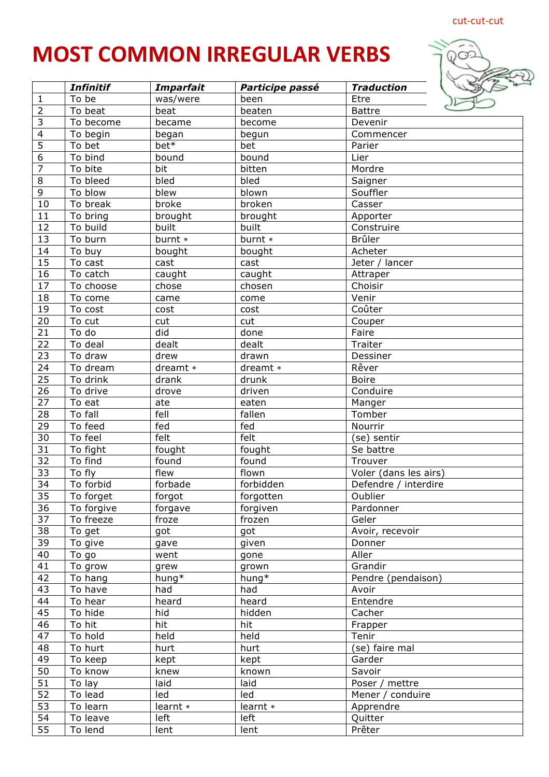## cut-cut-cut

## **MOST COMMON IRREGULAR VERBS**



|                 | <b>Infinitif</b>     | <b>Imparfait</b> | Participe passé | <b>Traduction</b>     |
|-----------------|----------------------|------------------|-----------------|-----------------------|
| $1\,$           | To be                | was/were         | been            | Etre                  |
| $\overline{2}$  | To beat              | beat             | beaten          | <b>Battre</b>         |
| $\overline{3}$  | To become            | became           | become          | Devenir               |
| $\overline{4}$  | To begin             | began            | begun           | Commencer             |
| $\overline{5}$  | To bet               | bet*             | bet             | Parier                |
| $\overline{6}$  | To bind              | bound            | bound           | Lier                  |
| $\overline{7}$  | To bite              | bit              | bitten          | Mordre                |
| $\,8\,$         | To bleed             | bled             | bled            | Saigner               |
| $\overline{9}$  | To blow              | blew             | blown           | Souffler              |
| 10              | To break             | broke            | broken          | Casser                |
| $\overline{11}$ | To bring             | brought          | brought         | Apporter              |
| $\overline{12}$ | To build             | built            | built           | Construire            |
| 13              | To burn              | burnt *          | burnt *         | Brûler                |
| 14              | To buy               | bought           | bought          | Acheter               |
| 15              | To cast              | cast             | cast            | Jeter / lancer        |
| $\overline{16}$ | To catch             | caught           | caught          | Attraper              |
| 17              | To choose            | chose            | chosen          | Choisir               |
| 18              | To come              | came             | come            | Venir                 |
| 19              | To cost              | cost             | cost            | Coûter                |
| $\overline{20}$ | To cut               | cut              | cut             | Couper                |
| $\overline{21}$ | To do                | did              | done            | Faire                 |
| 22              | $\overline{To}$ deal | dealt            | dealt           | Traiter               |
| 23              | To draw              | drew             | drawn           | Dessiner              |
| 24              | To dream             | dreamt *         | dreamt *        | Rêver                 |
| $\overline{25}$ | To drink             | drank            | drunk           | <b>Boire</b>          |
| 26              | To drive             | drove            | driven          | Conduire              |
| $\overline{27}$ | To eat               | ate              | eaten           | Manger                |
| 28              | To fall              | fell             | fallen          | Tomber                |
| $\overline{29}$ | To feed              | fed              | fed             | Nourrir               |
| $\overline{30}$ | To feel              | felt             | felt            | (se) sentir           |
| 31              | To fight             | fought           | fought          | Se battre             |
| $\overline{32}$ | To find              | found            | found           | Trouver               |
| 33              | To fly               | flew             | flown           | Voler (dans les airs) |
| 34              | To forbid            | forbade          | forbidden       | Defendre / interdire  |
| 35              | To forget            | forgot           | forgotten       | Oublier               |
| 36              | To forgive           | forgave          | forgiven        | Pardonner             |
| 37              | To freeze            | froze            | frozen          | Geler                 |
| 38              | To get               | got              | got             | Avoir, recevoir       |
| 39              | To give              | gave             | given           | Donner                |
| 40              | To go                | went             | gone            | Aller                 |
| 41              | To grow              | grew             | grown           | Grandir               |
| 42              | To hang              | $hung*$          | hung*           | Pendre (pendaison)    |
| 43              | To have              | had              | had             | Avoir                 |
| 44              | To hear              | heard            | heard           | Entendre              |
| 45              | To hide              | hid              | hidden          | Cacher                |
| 46              | To hit               | hit              | hit             | Frapper               |
| 47              | To hold              | held             | held            | Tenir                 |
| 48              | To hurt              | hurt             | hurt            | (se) faire mal        |
| 49              | To keep              | kept             | kept            | Garder                |
| 50              | To know              | knew             | known           | Savoir                |
| 51              | To lay               | laid             | laid            | Poser / mettre        |
| $\overline{52}$ | To lead              | led              | led             | Mener / conduire      |
| 53              | To learn             | learnt *         | learnt *        | Apprendre             |
| 54              | To leave             | left             | left            | Quitter               |
| 55              | To lend              | lent             | lent            | Prêter                |